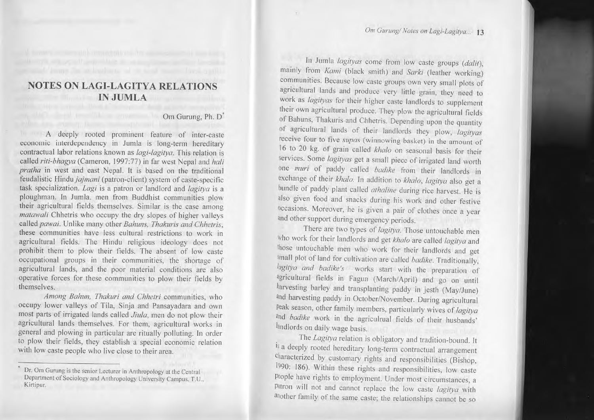## **NOTES ON LAGI-LAGITYA RELATIO S IN JUMLA**

## Om Gurung, Ph. D'

A deeply rooted prominent feature of inter-caste economic interdependency in Jumla is long-term hereditary contractual labor relations known as *lagi-lagitya*. This relation is called *riti-bhagya* (Cameron, 1997:77) in far west Nepal and *hali pratha* in west and east Nepal. It is based on the traditional feudalistic Hindu *ja* task specialization. *Lagi* is a patron or landlord and *lagitya* is a ploughman. In Jumla. men from Buddhist communities plow their agricultural fields themselves. Similar is the case among *matawali* Chhetris who occupy the dry slopes of higher valleys called *pawai*. Unlike many other *Bahuns*, *Thakuris and Chhetris*, these communities have le prohibit them to plow their fields. The absent of low caste occupational groups in their communities, the shortage of agricultural lands, and the poor material conditions are also operative forces for these communities to <sup>p</sup>low their fields by themselves.

*Among Bahun, Thakuri and Chhetri* communities, who occupy lower valleys of Tila, Sinja and Pansayadara and own<br>most parts of irrigated lands called Jiula, men do not plow their agricultural lands themselves. For them, agricultural works in general and plowing in particular are ritually polluting. In order to <sup>p</sup>low their fields, they establish <sup>a</sup> special economic relation with low caste people who live close to their area.

In Jumla *lagityas* come from low caste groups *(dalit)*, mainly from *Kami* (black smith) and *Sarki* (leather working) communities. Because low caste groups own very small plots of agricultural lands and produce very little grain, they need to work as *lagityas* for their higher caste landlords to supplement their own agricultural produce. They plow the agricultural fields of Bahuns, Thakuris and Chhetris. Depending upon the quantity of agricultural lands of their landlords they plow, *lagityas* receive four to five *slipas* (winnowing basket) in the amount of 16 to 20 kg. of grain called *khalo* on seasonal basis for their services. Some *lagityas* get a small piece of irrigated land worth one *muri* of paddy called *badike* from their landlords in exchange of their *khalo*. In addition to *khalo*, *lagitya* also get a bundle of paddy plant called *athaline* during rice harvest. He is also <sup>g</sup>iven food and snacks during his work and other festive occasions. Moreover, he is <sup>g</sup>iven <sup>a</sup> pair of clothes once <sup>a</sup> year and other support during emergency periods.

There are two types of *lagitya.* Those untouchable men Who work for their landlords and get *khalo* are called *lagitya* and those untouchable men who work for their landlords and get small <sup>p</sup>lot of land for cultivation are called *badike.* Traditionally, *lugit)'a alld badike's* works start with the preparation of agricultural fields in Fagun (March/April) and go on until harvesting barley and transplanting paddy in jesth (May/June) and harvesting paddy in October/November. During agricultural peak season, other family members, particularly wives of *lagitya* and *badike* work in the agriculrual fields of their husbands' landlords on daily wage basis.

The *Lagitya* relation is obligatory and tradition-bound. It is a deeply rooted hereditary long-term contractual arrangement characterized by customary rights and responsibilities (Bishop, 1990: 186). Within these rights and responsibilities, low caste Ptople have rights to employment. Under most circumstances, a patron will not and cannot replace the low caste  $lagitya$  with another family of the same caste; the relationships cannot be so

Dr. Om Gurung is the senior Lecturer in Anthropology at the Central Department of Sociology and Anthropology University Campus, T.U., **Kirtipur.**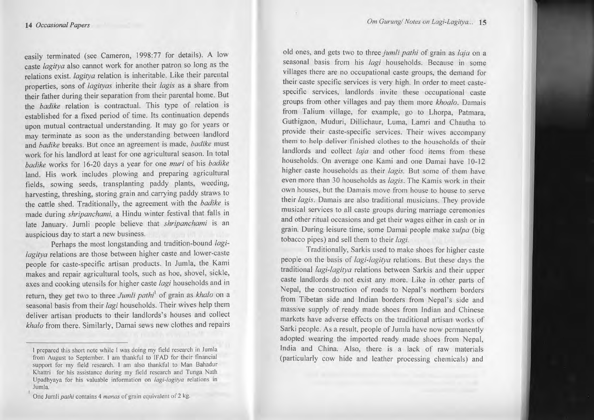easily terminated (see Cameron, 1998:77 for details). A low caste *lagitya* also cannot work for another patron so long as the relations exist. *lagitya* relation is inheritable. Like their parental properties, sons of *lagityas* inherite their *lagis* as <sup>a</sup> share from their father during their separation from their parental home. But the *badike* relation is contractual. This type of relation is established for <sup>a</sup> fixed period of time. Its continuation depends upon mutual contractual understanding. It may go for years or may terminate as soon as the understanding between landlord and *badike* breaks. But once an agreemen<sup>t</sup> is made, *badike* must work for his landlord at least for one agricultural season. In total *badike* works for 16-20 days <sup>a</sup> year for one *muri* of his *badike* land. His work includes plowing and preparing agricultural fields, sowing seeds, transplanting paddy plants, weeding, harvesting, threshing, storing grain and carrying paddy straws to the cattle shed. Traditionally, the agreemen<sup>t</sup> with the *badike* is made during *shripanchami,* <sup>a</sup> Hindu winter festival that falls in late January. Jumli people believe that *shripanchami* is an auspicious day to start <sup>a</sup> new business.

Perhaps the most longstanding and tradition-bound *lagilagitya* relations are those between higher caste and lower-caste people for caste-specific artisan products. In Jumla, the Kami makes and repair agricultural tools, such as hoe, shovel, sickle, axes and cooking utensils for higher caste *lagi* households and in return, they get two to three *Jumli pathi*<sup>1</sup> of grain as *khalo* on a seasonal basis from their *lagi* households. Their wives help them deliver artisan products to their landlords's houses and collect *khalo* from there. Similarly, Damai sews new clothes and repairs

old ones, and gets two to three *jumli pathi* of grain as *laja* on a seasonal basis from his *lagi* households. Because in some villages there are no occupational caste groups, the demand for their caste specific services is very high. In order to meet castespecific services, landlords invite these occupational caste groups from other villages and pay them more *khoalo*. Damais from Talium village, for example, go to Lhorpa, Patmara, Guthigaon, Muduri, Dillichaur, Luma, Lamri and Chautha to provide their caste-specific services. Their wives accompany them to help deliver finished clothes to the households of their landlords and collect *laja* and other food items from these households. On average one Kami and one Damai have 10-12 higher caste households as their *lagis.* But some of them have even more than 30 households as *lagis.* The Kamis work in their own houses, but the Damais move from house to house to serve their *lagis.* Damais are also traditional musicians. They provide musical services to all caste groups during marriage ceremonies and other ritual occasions and ge<sup>t</sup> their wages either in cash or in grain. During leisure time, some Damai people make *sulpa* (big tobacco pipes) and sell them to their *lagi.*

Traditionally, Sarkis used to make shoes for higher caste people on the basis of *lagi-Iagilya* relations. But these days the traditional *lagi-lagitya* relations between Sarkis and their upper caste landlords do not exist any more. Like in other parts of Nepal, the construction of roads to Nepal's northern borders from Tibetan side and Indian borders from Nepal's side and massive supply of ready made shoes from Indian and Chinese markets have adverse effects on the traditional artisan works of Sarki people. As a result, people of Jumla have now permanently adopted wearing the imported ready made shoes from Nepal, India and China. Also, there is <sup>a</sup> lack of raw materials (particularly cow hide and leather processing chemicals) and

**I prepared this shon note while I was doing my field research in Jumla from August to September. I am lhankful to IFAD for their financial support for my field research. I am also thankful to Man Bahadur Khattri for his assistance during my field research and Tunga Nalh Upadhyaya for his valuable information on lagi-Iagitya relations in lumla.**

**One Jumli** *palhi* **contains 4** *monas* of grain **equivalent of2 kg.**